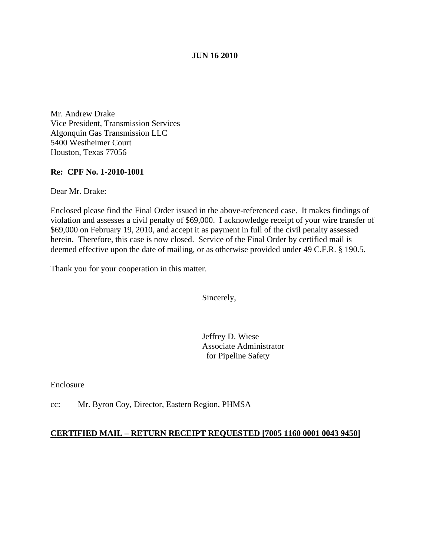## **JUN 16 2010**

Mr. Andrew Drake Vice President, Transmission Services Algonquin Gas Transmission LLC 5400 Westheimer Court Houston, Texas 77056

### **Re: CPF No. 1-2010-1001**

Dear Mr. Drake:

Enclosed please find the Final Order issued in the above-referenced case. It makes findings of violation and assesses a civil penalty of \$69,000. I acknowledge receipt of your wire transfer of \$69,000 on February 19, 2010, and accept it as payment in full of the civil penalty assessed herein. Therefore, this case is now closed. Service of the Final Order by certified mail is deemed effective upon the date of mailing, or as otherwise provided under 49 C.F.R. § 190.5.

Thank you for your cooperation in this matter.

Sincerely,

Jeffrey D. Wiese Associate Administrator for Pipeline Safety

Enclosure

cc: Mr. Byron Coy, Director, Eastern Region, PHMSA

## **CERTIFIED MAIL – RETURN RECEIPT REQUESTED [7005 1160 0001 0043 9450]**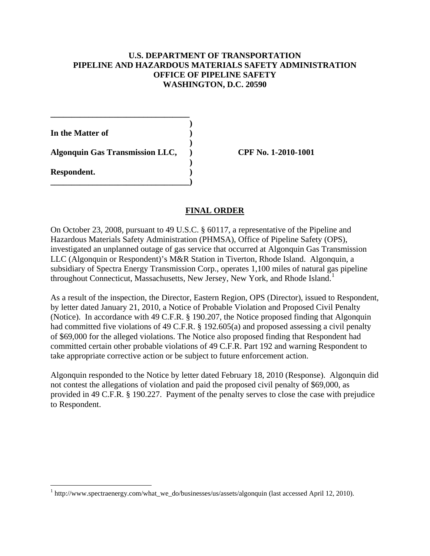## **U.S. DEPARTMENT OF TRANSPORTATION PIPELINE AND HAZARDOUS MATERIALS SAFETY ADMINISTRATION OFFICE OF PIPELINE SAFETY WASHINGTON, D.C. 20590**

 **)**

 **)**

 **)**

**In the Matter of )**

**Algonquin Gas Transmission LLC, ) CPF No. 1-2010-1001**

**\_\_\_\_\_\_\_\_\_\_\_\_\_\_\_\_\_\_\_\_\_\_\_\_\_\_\_\_\_\_\_\_\_)**

**\_\_\_\_\_\_\_\_\_\_\_\_\_\_\_\_\_\_\_\_\_\_\_\_\_\_\_\_\_\_\_\_\_**

**Respondent. )**

# **FINAL ORDER**

On October 23, 2008, pursuant to 49 U.S.C. § 60117, a representative of the Pipeline and Hazardous Materials Safety Administration (PHMSA), Office of Pipeline Safety (OPS), investigated an unplanned outage of gas service that occurred at Algonquin Gas Transmission LLC (Algonquin or Respondent)'s M&R Station in Tiverton, Rhode Island. Algonquin, a subsidiary of Spectra Energy Transmission Corp., operates 1,100 miles of natural gas pipeline throughout Connecticut, Massachusetts, New Jersey, New York, and Rhode Island.<sup>[1](#page-1-0)</sup>

As a result of the inspection, the Director, Eastern Region, OPS (Director), issued to Respondent, by letter dated January 21, 2010, a Notice of Probable Violation and Proposed Civil Penalty (Notice). In accordance with 49 C.F.R. § 190.207, the Notice proposed finding that Algonquin had committed five violations of 49 C.F.R. § 192.605(a) and proposed assessing a civil penalty of \$69,000 for the alleged violations. The Notice also proposed finding that Respondent had committed certain other probable violations of 49 C.F.R. Part 192 and warning Respondent to take appropriate corrective action or be subject to future enforcement action.

Algonquin responded to the Notice by letter dated February 18, 2010 (Response). Algonquin did not contest the allegations of violation and paid the proposed civil penalty of \$69,000, as provided in 49 C.F.R. § 190.227. Payment of the penalty serves to close the case with prejudice to Respondent.

<span id="page-1-0"></span> <sup>1</sup> http://www.spectraenergy.com/what\_we\_do/businesses/us/assets/algonquin (last accessed April 12, 2010).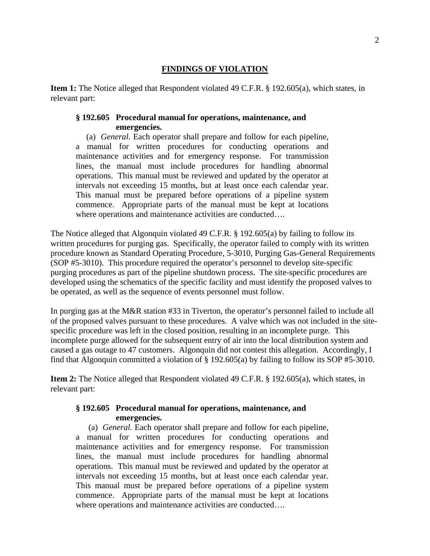#### **FINDINGS OF VIOLATION**

**Item 1:** The Notice alleged that Respondent violated 49 C.F.R. § 192.605(a), which states, in relevant part:

## **§ 192.605 Procedural manual for operations, maintenance, and emergencies.**

 (a) *General.* Each operator shall prepare and follow for each pipeline, a manual for written procedures for conducting operations and maintenance activities and for emergency response. For transmission lines, the manual must include procedures for handling abnormal operations. This manual must be reviewed and updated by the operator at intervals not exceeding 15 months, but at least once each calendar year. This manual must be prepared before operations of a pipeline system commence. Appropriate parts of the manual must be kept at locations where operations and maintenance activities are conducted….

The Notice alleged that Algonquin violated 49 C.F.R. § 192.605(a) by failing to follow its written procedures for purging gas. Specifically, the operator failed to comply with its written procedure known as Standard Operating Procedure, 5-3010, Purging Gas-General Requirements (SOP #5-3010). This procedure required the operator's personnel to develop site-specific purging procedures as part of the pipeline shutdown process. The site-specific procedures are developed using the schematics of the specific facility and must identify the proposed valves to be operated, as well as the sequence of events personnel must follow.

In purging gas at the M&R station #33 in Tiverton, the operator's personnel failed to include all of the proposed valves pursuant to these procedures. A valve which was not included in the sitespecific procedure was left in the closed position, resulting in an incomplete purge. This incomplete purge allowed for the subsequent entry of air into the local distribution system and caused a gas outage to 47 customers. Algonquin did not contest this allegation. Accordingly, I find that Algonquin committed a violation of § 192.605(a) by failing to follow its SOP #5-3010.

**Item 2:** The Notice alleged that Respondent violated 49 C.F.R. § 192.605(a), which states, in relevant part:

# **§ 192.605 Procedural manual for operations, maintenance, and emergencies.**

(a) *General.* Each operator shall prepare and follow for each pipeline, a manual for written procedures for conducting operations and maintenance activities and for emergency response. For transmission lines, the manual must include procedures for handling abnormal operations. This manual must be reviewed and updated by the operator at intervals not exceeding 15 months, but at least once each calendar year. This manual must be prepared before operations of a pipeline system commence. Appropriate parts of the manual must be kept at locations where operations and maintenance activities are conducted….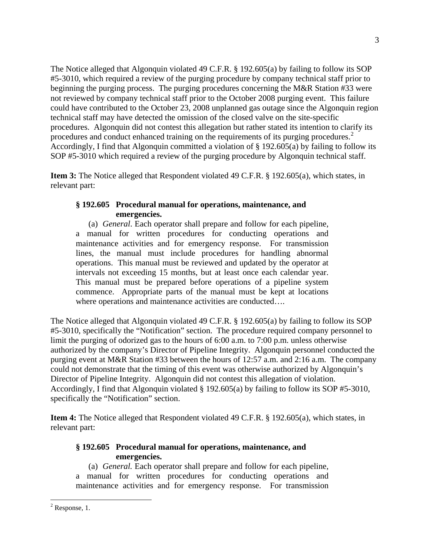The Notice alleged that Algonquin violated 49 C.F.R. § 192.605(a) by failing to follow its SOP #5-3010, which required a review of the purging procedure by company technical staff prior to beginning the purging process. The purging procedures concerning the M&R Station #33 were not reviewed by company technical staff prior to the October 2008 purging event. This failure could have contributed to the October 23, 2008 unplanned gas outage since the Algonquin region technical staff may have detected the omission of the closed valve on the site-specific procedures. Algonquin did not contest this allegation but rather stated its intention to clarify its procedures and conduct enhanced training on the requirements of its purging procedures.<sup>[2](#page-3-0)</sup> Accordingly, I find that Algonquin committed a violation of § 192.605(a) by failing to follow its SOP #5-3010 which required a review of the purging procedure by Algonquin technical staff.

**Item 3:** The Notice alleged that Respondent violated 49 C.F.R. § 192.605(a), which states, in relevant part:

# **§ 192.605 Procedural manual for operations, maintenance, and emergencies.**

(a) *General*. Each operator shall prepare and follow for each pipeline, a manual for written procedures for conducting operations and maintenance activities and for emergency response. For transmission lines, the manual must include procedures for handling abnormal operations. This manual must be reviewed and updated by the operator at intervals not exceeding 15 months, but at least once each calendar year. This manual must be prepared before operations of a pipeline system commence. Appropriate parts of the manual must be kept at locations where operations and maintenance activities are conducted....

The Notice alleged that Algonquin violated 49 C.F.R. § 192.605(a) by failing to follow its SOP #5-3010, specifically the "Notification" section. The procedure required company personnel to limit the purging of odorized gas to the hours of 6:00 a.m. to 7:00 p.m. unless otherwise authorized by the company's Director of Pipeline Integrity. Algonquin personnel conducted the purging event at M&R Station #33 between the hours of 12:57 a.m. and 2:16 a.m. The company could not demonstrate that the timing of this event was otherwise authorized by Algonquin's Director of Pipeline Integrity. Algonquin did not contest this allegation of violation. Accordingly, I find that Algonquin violated § 192.605(a) by failing to follow its SOP #5-3010, specifically the "Notification" section.

**Item 4:** The Notice alleged that Respondent violated 49 C.F.R. § 192.605(a), which states, in relevant part:

# **§ 192.605 Procedural manual for operations, maintenance, and emergencies.**

(a) *General.* Each operator shall prepare and follow for each pipeline, a manual for written procedures for conducting operations and maintenance activities and for emergency response. For transmission

<span id="page-3-0"></span> $2$  Response, 1.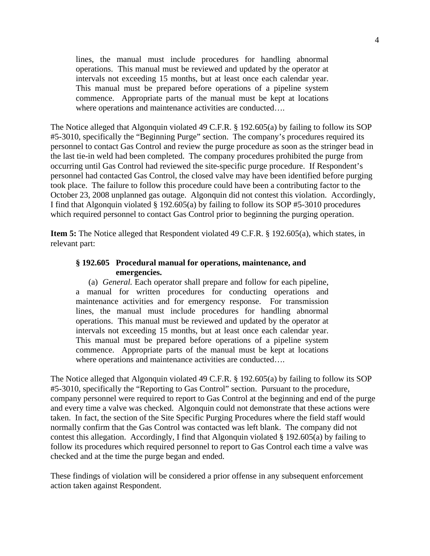lines, the manual must include procedures for handling abnormal operations. This manual must be reviewed and updated by the operator at intervals not exceeding 15 months, but at least once each calendar year. This manual must be prepared before operations of a pipeline system commence. Appropriate parts of the manual must be kept at locations where operations and maintenance activities are conducted....

The Notice alleged that Algonquin violated 49 C.F.R. § 192.605(a) by failing to follow its SOP #5-3010, specifically the "Beginning Purge" section. The company's procedures required its personnel to contact Gas Control and review the purge procedure as soon as the stringer bead in the last tie-in weld had been completed. The company procedures prohibited the purge from occurring until Gas Control had reviewed the site-specific purge procedure. If Respondent's personnel had contacted Gas Control, the closed valve may have been identified before purging took place. The failure to follow this procedure could have been a contributing factor to the October 23, 2008 unplanned gas outage. Algonquin did not contest this violation. Accordingly, I find that Algonquin violated § 192.605(a) by failing to follow its SOP #5-3010 procedures which required personnel to contact Gas Control prior to beginning the purging operation.

**Item 5:** The Notice alleged that Respondent violated 49 C.F.R. § 192.605(a), which states, in relevant part:

## **§ 192.605 Procedural manual for operations, maintenance, and emergencies.**

(a) *General.* Each operator shall prepare and follow for each pipeline, a manual for written procedures for conducting operations and maintenance activities and for emergency response. For transmission lines, the manual must include procedures for handling abnormal operations. This manual must be reviewed and updated by the operator at intervals not exceeding 15 months, but at least once each calendar year. This manual must be prepared before operations of a pipeline system commence. Appropriate parts of the manual must be kept at locations where operations and maintenance activities are conducted....

The Notice alleged that Algonquin violated 49 C.F.R. § 192.605(a) by failing to follow its SOP #5-3010, specifically the "Reporting to Gas Control" section. Pursuant to the procedure, company personnel were required to report to Gas Control at the beginning and end of the purge and every time a valve was checked. Algonquin could not demonstrate that these actions were taken. In fact, the section of the Site Specific Purging Procedures where the field staff would normally confirm that the Gas Control was contacted was left blank. The company did not contest this allegation. Accordingly, I find that Algonquin violated § 192.605(a) by failing to follow its procedures which required personnel to report to Gas Control each time a valve was checked and at the time the purge began and ended.

These findings of violation will be considered a prior offense in any subsequent enforcement action taken against Respondent.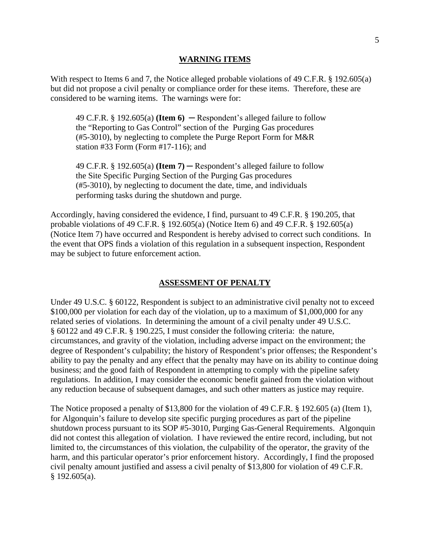#### **WARNING ITEMS**

With respect to Items 6 and 7, the Notice alleged probable violations of 49 C.F.R. § 192.605(a) but did not propose a civil penalty or compliance order for these items. Therefore, these are considered to be warning items. The warnings were for:

49 C.F.R. § 192.605(a) **(Item 6)**  $-$  Respondent's alleged failure to follow the "Reporting to Gas Control" section of the Purging Gas procedures (#5-3010), by neglecting to complete the Purge Report Form for M&R station #33 Form (Form #17-116); and

49 C.F.R. § 192.605(a) **(Item 7)** ─ Respondent's alleged failure to follow the Site Specific Purging Section of the Purging Gas procedures (#5-3010), by neglecting to document the date, time, and individuals performing tasks during the shutdown and purge.

Accordingly, having considered the evidence, I find, pursuant to 49 C.F.R. § 190.205, that probable violations of 49 C.F.R. § 192.605(a) (Notice Item 6) and 49 C.F.R. § 192.605(a) (Notice Item 7) have occurred and Respondent is hereby advised to correct such conditions. In the event that OPS finds a violation of this regulation in a subsequent inspection, Respondent may be subject to future enforcement action.

### **ASSESSMENT OF PENALTY**

Under 49 U.S.C. § 60122, Respondent is subject to an administrative civil penalty not to exceed \$100,000 per violation for each day of the violation, up to a maximum of \$1,000,000 for any related series of violations. In determining the amount of a civil penalty under 49 U.S.C. § 60122 and 49 C.F.R. § 190.225, I must consider the following criteria: the nature, circumstances, and gravity of the violation, including adverse impact on the environment; the degree of Respondent's culpability; the history of Respondent's prior offenses; the Respondent's ability to pay the penalty and any effect that the penalty may have on its ability to continue doing business; and the good faith of Respondent in attempting to comply with the pipeline safety regulations. In addition, I may consider the economic benefit gained from the violation without any reduction because of subsequent damages, and such other matters as justice may require.

The Notice proposed a penalty of \$13,800 for the violation of 49 C.F.R. § 192.605 (a) (Item 1), for Algonquin's failure to develop site specific purging procedures as part of the pipeline shutdown process pursuant to its SOP #5-3010, Purging Gas-General Requirements. Algonquin did not contest this allegation of violation. I have reviewed the entire record, including, but not limited to, the circumstances of this violation, the culpability of the operator, the gravity of the harm, and this particular operator's prior enforcement history. Accordingly, I find the proposed civil penalty amount justified and assess a civil penalty of \$13,800 for violation of 49 C.F.R. § 192.605(a).